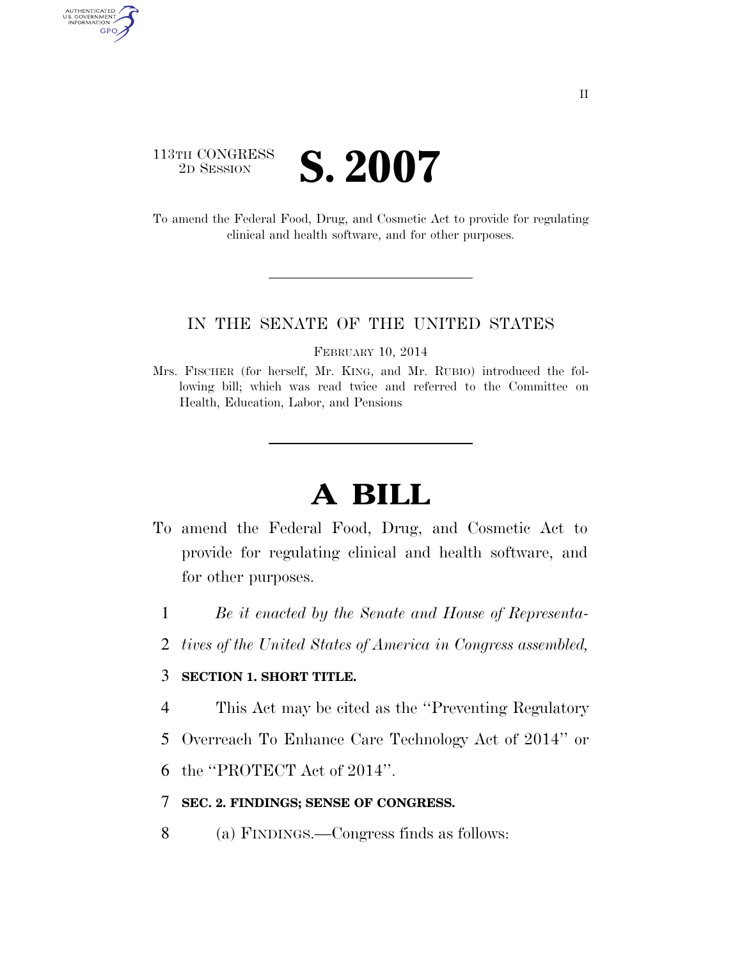# 113TH CONGRESS **2D SESSION S. 2007**

AUTHENTICATED<br>U.S. GOVERNMENT<br>INFORMATION GPO

> To amend the Federal Food, Drug, and Cosmetic Act to provide for regulating clinical and health software, and for other purposes.

#### IN THE SENATE OF THE UNITED STATES

FEBRUARY 10, 2014

# **A BILL**

- To amend the Federal Food, Drug, and Cosmetic Act to provide for regulating clinical and health software, and for other purposes.
	- 1 *Be it enacted by the Senate and House of Representa-*
	- 2 *tives of the United States of America in Congress assembled,*

### 3 **SECTION 1. SHORT TITLE.**

- 4 This Act may be cited as the ''Preventing Regulatory
- 5 Overreach To Enhance Care Technology Act of 2014'' or
- 6 the ''PROTECT Act of 2014''.

#### 7 **SEC. 2. FINDINGS; SENSE OF CONGRESS.**

8 (a) FINDINGS.—Congress finds as follows:

Mrs. FISCHER (for herself, Mr. KING, and Mr. RUBIO) introduced the following bill; which was read twice and referred to the Committee on Health, Education, Labor, and Pensions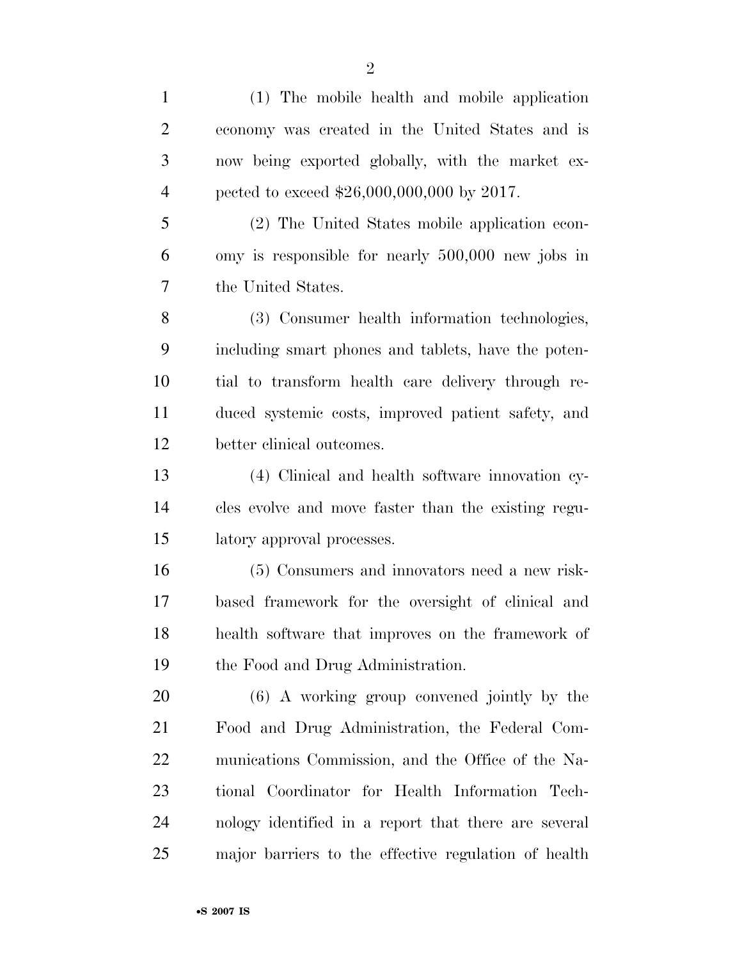(1) The mobile health and mobile application economy was created in the United States and is now being exported globally, with the market ex-4 pected to exceed  $$26,000,000,000$  by 2017. (2) The United States mobile application econ- omy is responsible for nearly 500,000 new jobs in the United States.

 (3) Consumer health information technologies, including smart phones and tablets, have the poten- tial to transform health care delivery through re- duced systemic costs, improved patient safety, and better clinical outcomes.

 (4) Clinical and health software innovation cy- cles evolve and move faster than the existing regu-latory approval processes.

 (5) Consumers and innovators need a new risk- based framework for the oversight of clinical and health software that improves on the framework of the Food and Drug Administration.

 (6) A working group convened jointly by the Food and Drug Administration, the Federal Com- munications Commission, and the Office of the Na- tional Coordinator for Health Information Tech- nology identified in a report that there are several major barriers to the effective regulation of health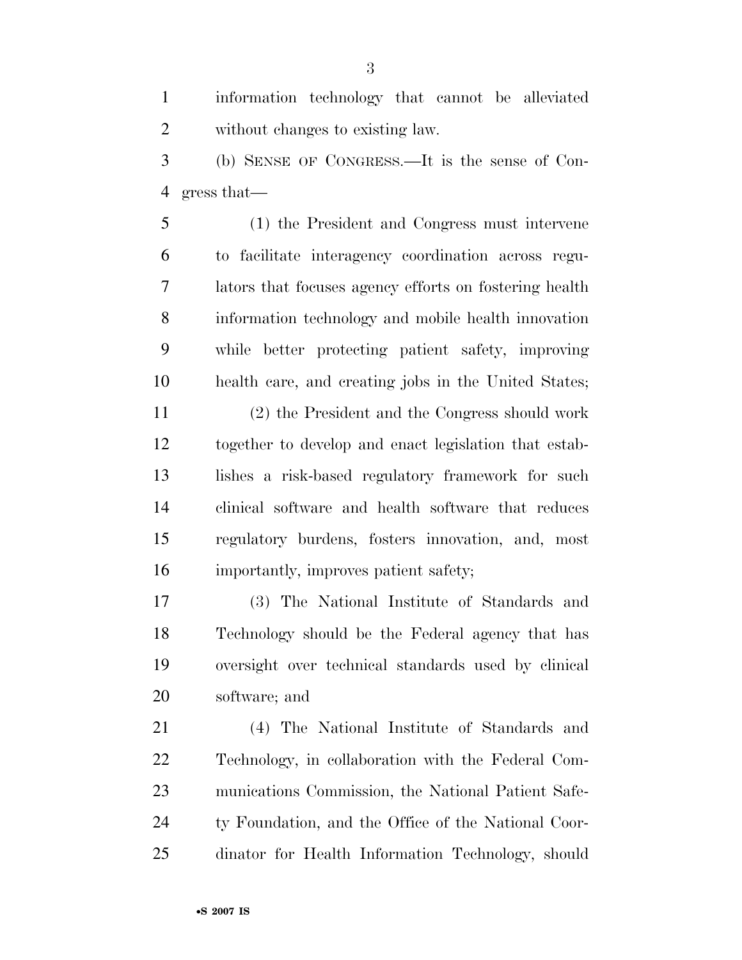information technology that cannot be alleviated without changes to existing law.

 (b) SENSE OF CONGRESS.—It is the sense of Con-gress that—

 (1) the President and Congress must intervene to facilitate interagency coordination across regu- lators that focuses agency efforts on fostering health information technology and mobile health innovation while better protecting patient safety, improving health care, and creating jobs in the United States;

 (2) the President and the Congress should work together to develop and enact legislation that estab- lishes a risk-based regulatory framework for such clinical software and health software that reduces regulatory burdens, fosters innovation, and, most importantly, improves patient safety;

 (3) The National Institute of Standards and Technology should be the Federal agency that has oversight over technical standards used by clinical software; and

 (4) The National Institute of Standards and Technology, in collaboration with the Federal Com- munications Commission, the National Patient Safe- ty Foundation, and the Office of the National Coor-dinator for Health Information Technology, should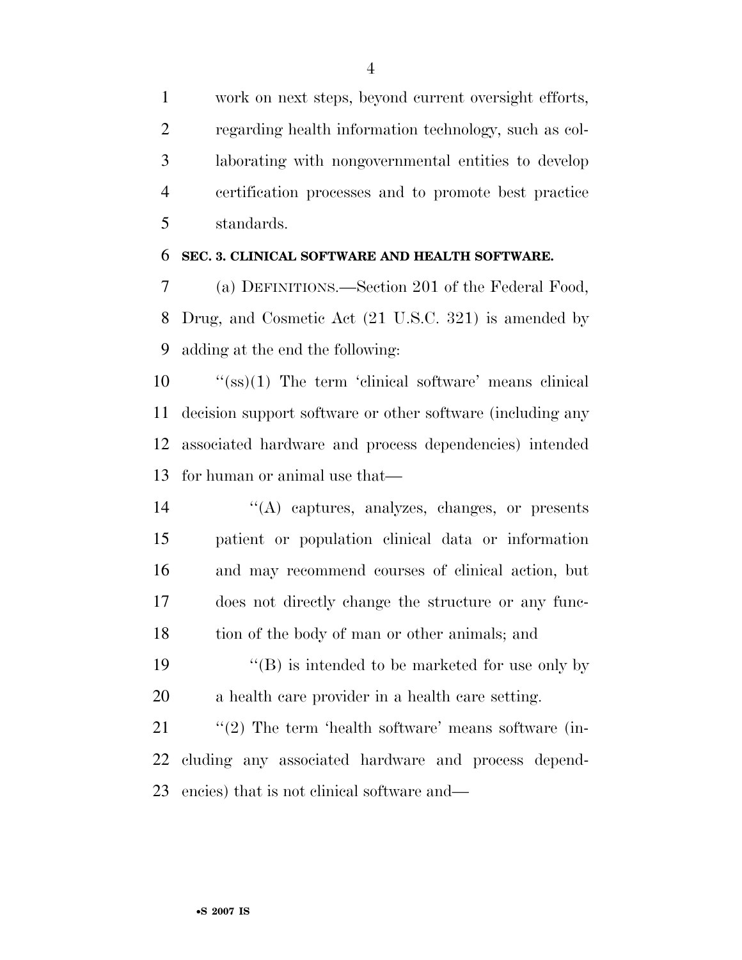work on next steps, beyond current oversight efforts, regarding health information technology, such as col- laborating with nongovernmental entities to develop certification processes and to promote best practice standards.

#### **SEC. 3. CLINICAL SOFTWARE AND HEALTH SOFTWARE.**

 (a) DEFINITIONS.—Section 201 of the Federal Food, Drug, and Cosmetic Act (21 U.S.C. 321) is amended by adding at the end the following:

 ''(ss)(1) The term 'clinical software' means clinical decision support software or other software (including any associated hardware and process dependencies) intended for human or animal use that—

- ''(A) captures, analyzes, changes, or presents patient or population clinical data or information and may recommend courses of clinical action, but does not directly change the structure or any func-18 tion of the body of man or other animals; and
- 19  $\langle G \rangle$  is intended to be marketed for use only by a health care provider in a health care setting.

21 ''(2) The term 'health software' means software (in- cluding any associated hardware and process depend-encies) that is not clinical software and—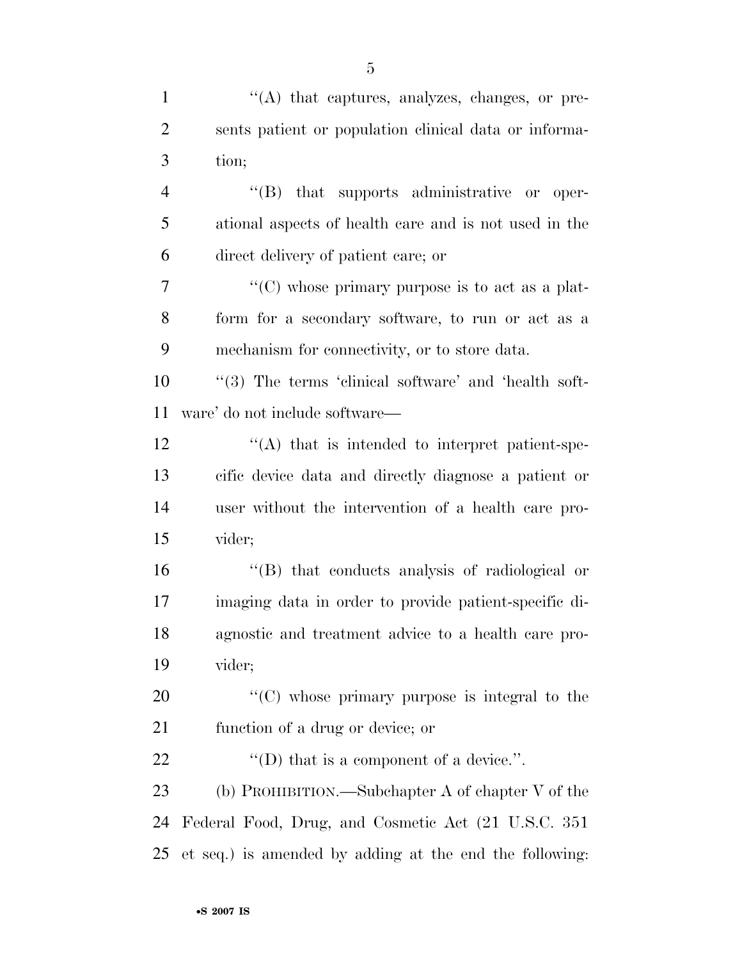| $\mathbf{1}$   | $\lq\lq$ that captures, analyzes, changes, or pre-      |
|----------------|---------------------------------------------------------|
| $\overline{2}$ | sents patient or population clinical data or informa-   |
| 3              | tion;                                                   |
| $\overline{4}$ | $\lq\lq(B)$ that supports administrative or oper-       |
| 5              | ational aspects of health care and is not used in the   |
| 6              | direct delivery of patient care; or                     |
| 7              | "(C) whose primary purpose is to act as a plat-         |
| 8              | form for a secondary software, to run or act as a       |
| 9              | mechanism for connectivity, or to store data.           |
| 10             | "(3) The terms 'clinical software' and 'health soft-    |
| 11             | ware' do not include software—                          |
| 12             | "(A) that is intended to interpret patient-spe-         |
| 13             | cific device data and directly diagnose a patient or    |
| 14             | user without the intervention of a health care pro-     |
| 15             | vider;                                                  |
| 16             | "(B) that conducts analysis of radiological or          |
| 17             | imaging data in order to provide patient-specific di-   |
| 18             | agnostic and treatment advice to a health care pro-     |
| 19             | vider;                                                  |
| 20             | $\lq\lq$ (C) whose primary purpose is integral to the   |
| 21             | function of a drug or device; or                        |
| 22             | "(D) that is a component of a device.".                 |
| 23             | (b) PROHIBITION.—Subchapter A of chapter $V$ of the     |
| 24             | Federal Food, Drug, and Cosmetic Act (21 U.S.C. 351)    |
| 25             | et seq.) is amended by adding at the end the following: |